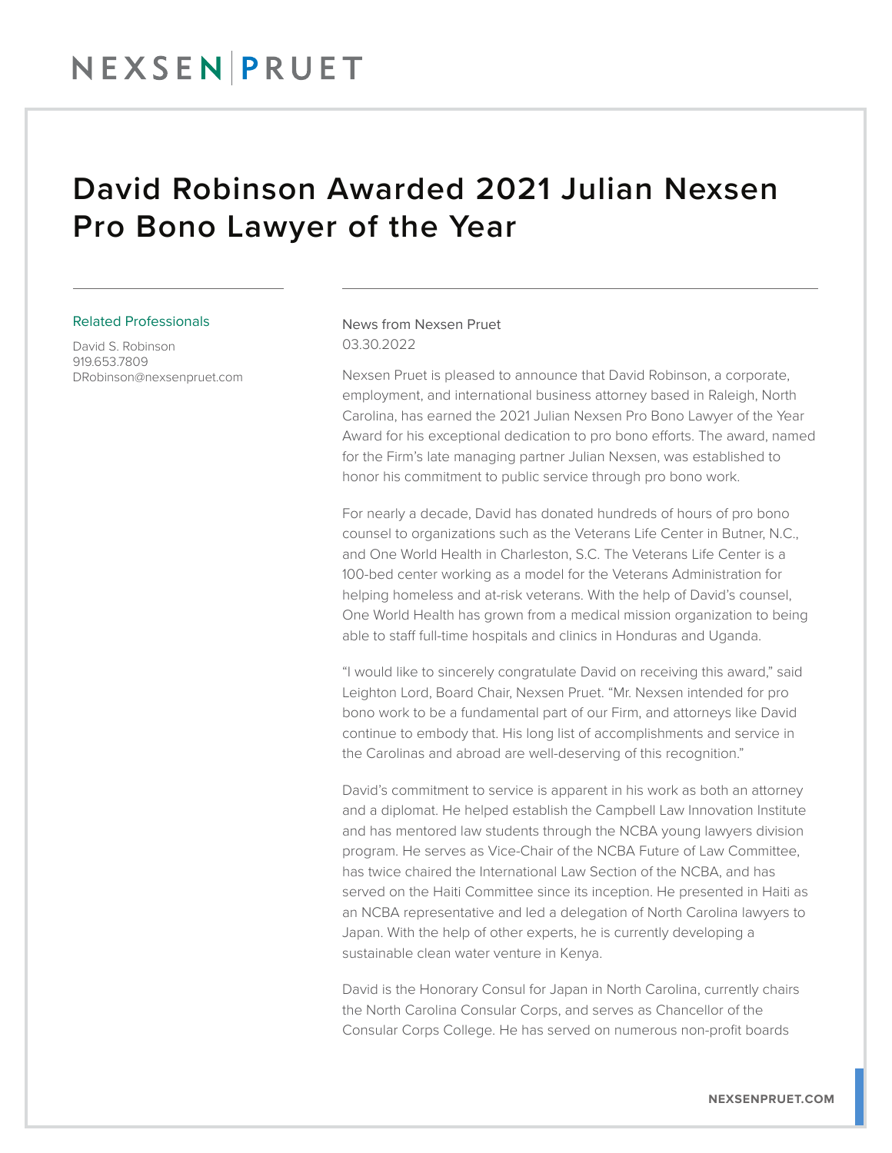## David Robinson Awarded 2021 Julian Nexsen Pro Bono Lawyer of the Year

## Related Professionals

David S. Robinson 919.653.7809 DRobinson@nexsenpruet.com

## News from Nexsen Pruet 03.30.2022

Nexsen Pruet is pleased to announce that David Robinson, a corporate, employment, and international business attorney based in Raleigh, North Carolina, has earned the 2021 Julian Nexsen Pro Bono Lawyer of the Year Award for his exceptional dedication to pro bono efforts. The award, named for the Firm's late managing partner Julian Nexsen, was established to honor his commitment to public service through pro bono work.

For nearly a decade, David has donated hundreds of hours of pro bono counsel to organizations such as the Veterans Life Center in Butner, N.C., and One World Health in Charleston, S.C. The Veterans Life Center is a 100-bed center working as a model for the Veterans Administration for helping homeless and at-risk veterans. With the help of David's counsel, One World Health has grown from a medical mission organization to being able to staff full-time hospitals and clinics in Honduras and Uganda.

"I would like to sincerely congratulate David on receiving this award," said Leighton Lord, Board Chair, Nexsen Pruet. "Mr. Nexsen intended for pro bono work to be a fundamental part of our Firm, and attorneys like David continue to embody that. His long list of accomplishments and service in the Carolinas and abroad are well-deserving of this recognition."

David's commitment to service is apparent in his work as both an attorney and a diplomat. He helped establish the Campbell Law Innovation Institute and has mentored law students through the NCBA young lawyers division program. He serves as Vice-Chair of the NCBA Future of Law Committee, has twice chaired the International Law Section of the NCBA, and has served on the Haiti Committee since its inception. He presented in Haiti as an NCBA representative and led a delegation of North Carolina lawyers to Japan. With the help of other experts, he is currently developing a sustainable clean water venture in Kenya.

David is the Honorary Consul for Japan in North Carolina, currently chairs the North Carolina Consular Corps, and serves as Chancellor of the Consular Corps College. He has served on numerous non-profit boards